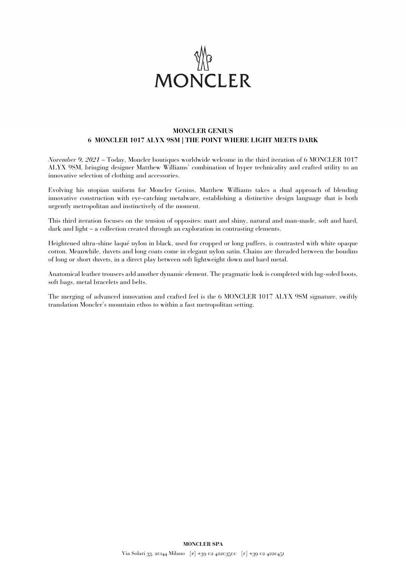

## **MONCLER GENIUS 6 MONCLER 1017 ALYX 9SM | THE POINT WHERE LIGHT MEETS DARK**

*November 9, 2021* – Today, Moncler boutiques worldwide welcome in the third iteration of 6 MONCLER 1017 ALYX 9SM, bringing designer Matthew Williams' combination of hyper technicality and crafted utility to an innovative selection of clothing and accessories.

Evolving his utopian uniform for Moncler Genius, Matthew Williams takes a dual approach of blending innovative construction with eye-catching metalware, establishing a distinctive design language that is both urgently metropolitan and instinctively of the moment.

This third iteration focuses on the tension of opposites: matt and shiny, natural and man-made, soft and hard, dark and light – a collection created through an exploration in contrasting elements.

Heightened ultra-shine laqué nylon in black, used for cropped or long puffers, is contrasted with white opaque cotton. Meanwhile, duvets and long coats come in elegant nylon satin. Chains are threaded between the boudins of long or short duvets, in a direct play between soft lightweight down and hard metal.

Anatomical leather trousers add another dynamic element. The pragmatic look is completed with lug-soled boots, soft bags, metal bracelets and belts.

The merging of advanced innovation and crafted feel is the 6 MONCLER 1017 ALYX 9SM signature, swiftly translation Moncler's mountain ethos to within a fast metropolitan setting.